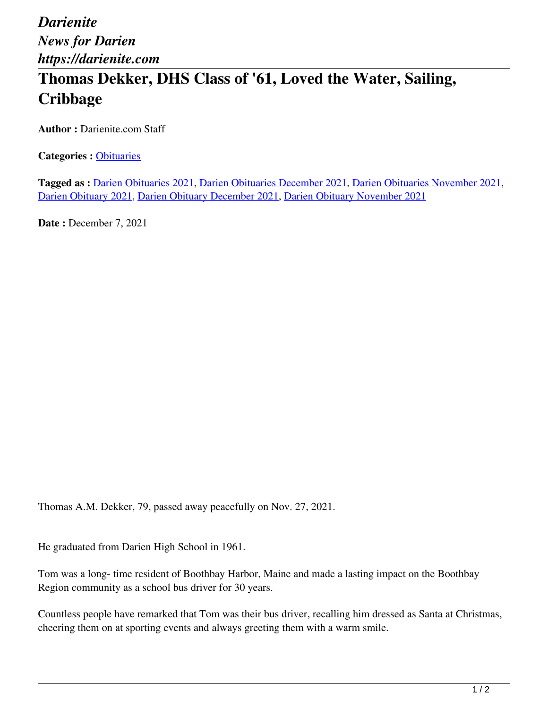## *Darienite News for Darien https://darienite.com* **Thomas Dekker, DHS Class of '61, Loved the Water, Sailing, Cribbage**

**Author :** Darienite.com Staff

**Categories :** [Obituaries](https://darienite.com/category/obituaries)

**Tagged as :** Darien Obituaries 2021, Darien Obituaries December 2021, Darien Obituaries November 2021, Darien Obituary 2021, Darien Obituary December 2021, Darien Obituary November 2021

**Date : December 7, 2021** 

Thomas A.M. Dekker, 79, passed away peacefully on Nov. 27, 2021.

He graduated from Darien High School in 1961.

Tom was a long- time resident of Boothbay Harbor, Maine and made a lasting impact on the Boothbay Region community as a school bus driver for 30 years.

Countless people have remarked that Tom was their bus driver, recalling him dressed as Santa at Christmas, cheering them on at sporting events and always greeting them with a warm smile.